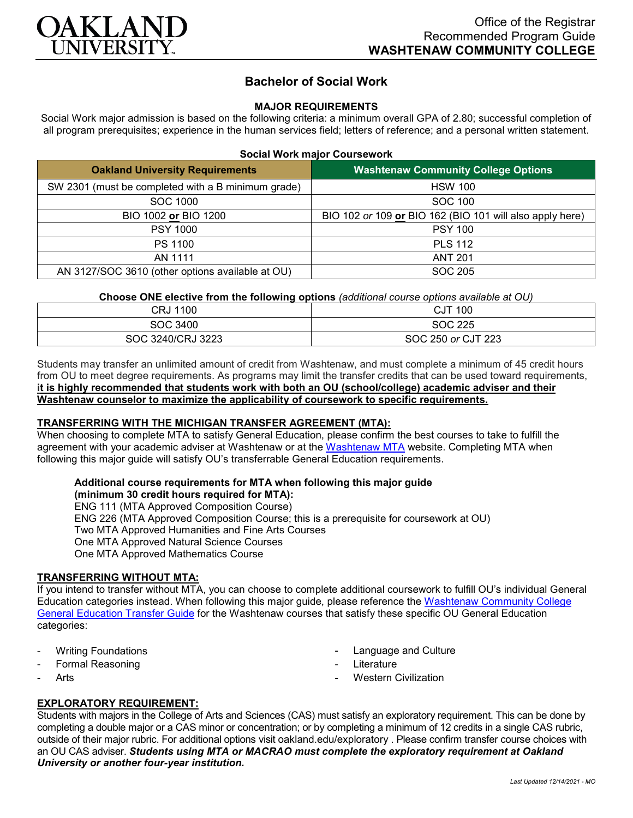

# **Bachelor of Social Work**

### **MAJOR REQUIREMENTS**

Social Work major admission is based on the following criteria: a minimum overall GPA of 2.80; successful completion of all program prerequisites; experience in the human services field; letters of reference; and a personal written statement.

| <b>Oakland University Requirements</b>             | <b>Washtenaw Community College Options</b>               |
|----------------------------------------------------|----------------------------------------------------------|
| SW 2301 (must be completed with a B minimum grade) | <b>HSW 100</b>                                           |
| SOC 1000                                           | SOC 100                                                  |
| BIO 1002 or BIO 1200                               | BIO 102 or 109 or BIO 162 (BIO 101 will also apply here) |
| <b>PSY 1000</b>                                    | <b>PSY 100</b>                                           |
| PS 1100                                            | <b>PLS 112</b>                                           |
| AN 1111                                            | <b>ANT 201</b>                                           |
| AN 3127/SOC 3610 (other options available at OU)   | SOC 205                                                  |

**Choose ONE elective from the following options** *(additional course options available at OU)*

| CRJ 1100          | <b>CJT 100</b>     |
|-------------------|--------------------|
| SOC 3400          | SOC 225            |
| SOC 3240/CRJ 3223 | SOC 250 or CJT 223 |

Students may transfer an unlimited amount of credit from Washtenaw, and must complete a minimum of 45 credit hours from OU to meet degree requirements. As programs may limit the transfer credits that can be used toward requirements, **it is highly recommended that students work with both an OU (school/college) academic adviser and their Washtenaw counselor to maximize the applicability of coursework to specific requirements.**

## **TRANSFERRING WITH THE MICHIGAN TRANSFER AGREEMENT (MTA):**

When choosing to complete MTA to satisfy General Education, please confirm the best courses to take to fulfill the agreement with your academic adviser at Washtenaw or at the [Washtenaw MTA](https://www.wccnet.edu/learn/transfer-wcc-credits/mta.php) website. Completing MTA when following this major guide will satisfy OU's transferrable General Education requirements.

# **Additional course requirements for MTA when following this major guide**

**(minimum 30 credit hours required for MTA):** ENG 111 (MTA Approved Composition Course) ENG 226 (MTA Approved Composition Course; this is a prerequisite for coursework at OU) Two MTA Approved Humanities and Fine Arts Courses One MTA Approved Natural Science Courses

One MTA Approved Mathematics Course

#### **TRANSFERRING WITHOUT MTA:**

If you intend to transfer without MTA, you can choose to complete additional coursework to fulfill OU's individual General Education categories instead. When following this major guide, please reference the [Washtenaw Community College](https://www.oakland.edu/Assets/Oakland/program-guides/washtenaw-community-college/university-general-education-requirements/Washtenaw%20Gen%20Ed.pdf)  [General Education Transfer Guide](https://www.oakland.edu/Assets/Oakland/program-guides/washtenaw-community-college/university-general-education-requirements/Washtenaw%20Gen%20Ed.pdf) for the Washtenaw courses that satisfy these specific OU General Education categories:

- **Writing Foundations**
- Formal Reasoning
- **Arts**
- Language and Culture
- **Literature**
- **Western Civilization**

### **EXPLORATORY REQUIREMENT:**

Students with majors in the College of Arts and Sciences (CAS) must satisfy an exploratory requirement. This can be done by completing a double major or a CAS minor or concentration; or by completing a minimum of 12 credits in a single CAS rubric, outside of their major rubric. For additional options visit [oakland.edu/exploratory](http://www.oakland.edu/exploratory) . Please confirm transfer course choices with an OU CAS adviser. *Students using MTA or MACRAO must complete the exploratory requirement at Oakland University or another four-year institution.*